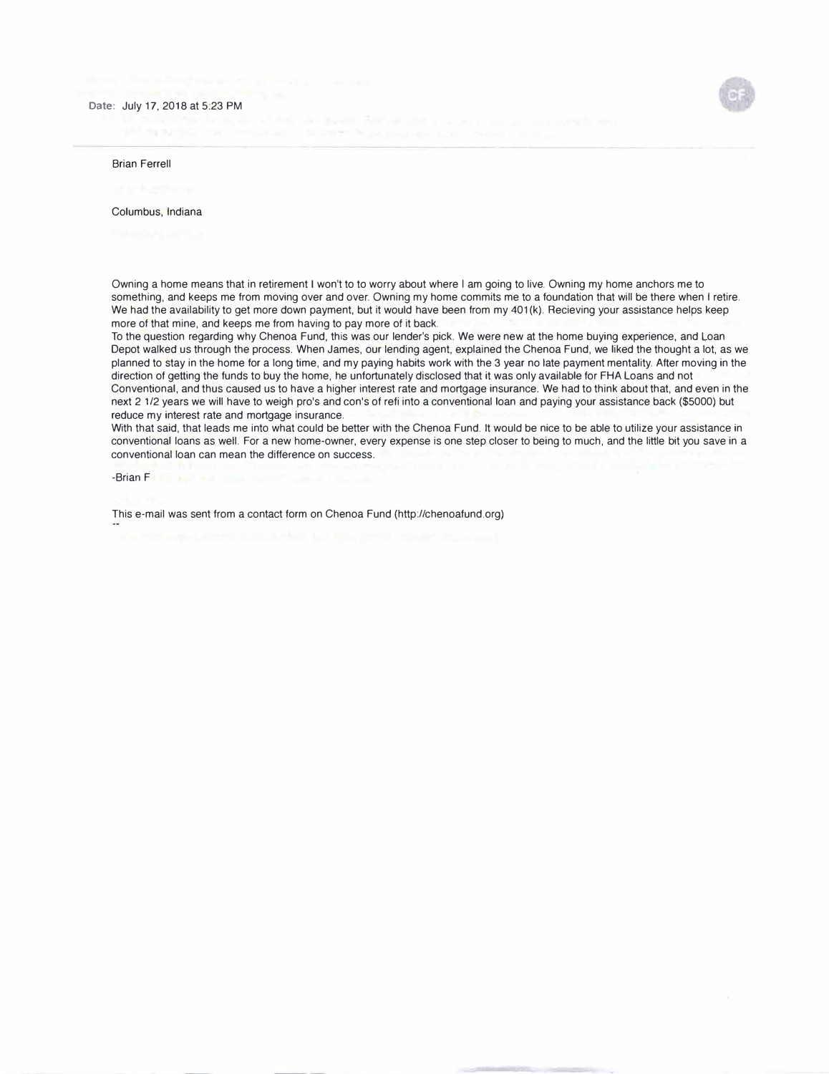## **Date:** July 17, 2018 at 5:23 PM

## Brian Ferrell

Columbus, Indiana

Owning a home means that in retirement I won't to to worry about where I am going to live. Owning my home anchors me to something, and keeps me from moving over and over. Owning my home commits me to a foundation that will be there when I retire. We had the availability to get more down payment, but it would have been from my 401 (k). Recieving your assistance helps keep more of that mine, and keeps me from having to pay more of it back.

To the question regarding why Chenoa Fund, this was our lender's pick. We were new at the home buying experience, and Loan Depot walked us through the process. When James, our lending agent, explained the Chenoa Fund, we liked the thought a lot, as we planned to stay in the home for a long time, and my paying habits work with the 3 year no late payment mentality. After moving in the direction of getting the funds to buy the home, he unfortunately disclosed that it was only available for FHA Loans and not Conventional, and thus caused us to have a higher interest rate and mortgage insurance. We had to think about that, and even in the next 2 1/2 years we will have to weigh pro's and con's of refi into a conventional loan and paying your assistance back (\$5000) but reduce my interest rate and mortgage insurance.

With that said, that leads me into what could be better with the Chenoa Fund. It would be nice to be able to utilize your assistance in conventional loans as well. For a new home-owner, every expense is one step closer to being to much, and the little bit you save in a conventional loan can mean the difference on success.

-Brian F

This e-mail was sent from a contact form on Chenoa Fund (http://chenoafund.org)